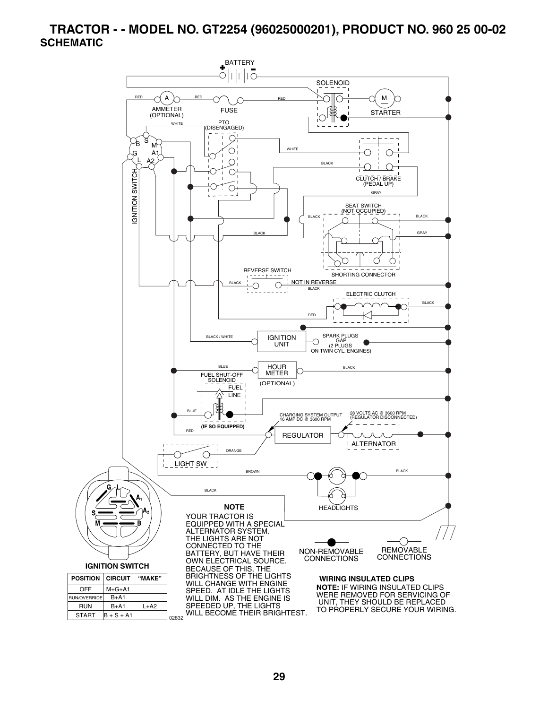#### **TRACTOR - - MODEL NO. GT2254 (96025000201), PRODUCT NO. 960 25 00-02 SCHEMATIC**

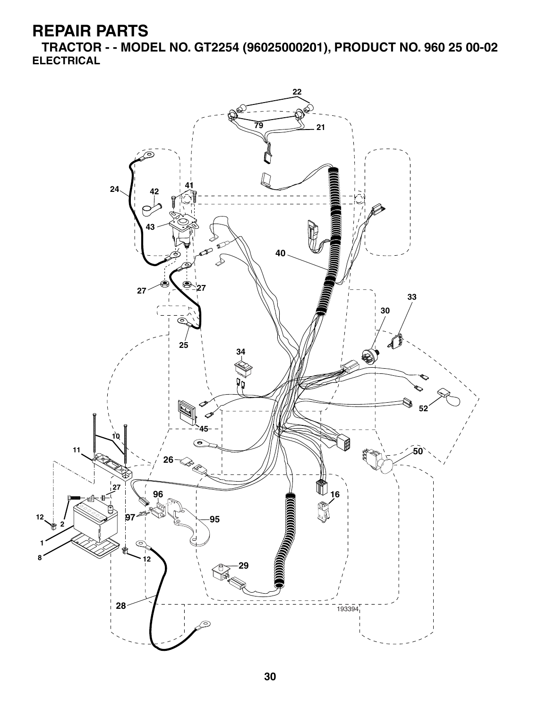**TRACTOR - - MODEL NO. GT2254 (96025000201), PRODUCT NO. 960 25 00-02 ELECTRICAL**

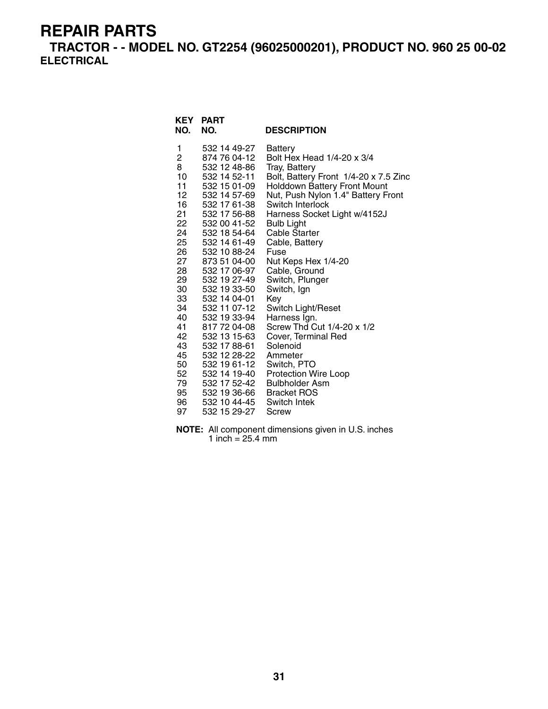**TRACTOR - - MODEL NO. GT2254 (96025000201), PRODUCT NO. 960 25 00-02 ELECTRICAL**

| <b>KEY</b><br>NO. | <b>PART</b><br>NO. | <b>DESCRIPTION</b>                    |
|-------------------|--------------------|---------------------------------------|
| 1                 | 532 14 49-27       | Battery                               |
| $\overline{2}$    | 874 76 04-12       | Bolt Hex Head 1/4-20 x 3/4            |
| 8                 | 532 12 48-86       | Tray, Battery                         |
| 10                | 532 14 52-11       | Bolt, Battery Front 1/4-20 x 7.5 Zinc |
| 11                | 532 15 01-09       | <b>Holddown Battery Front Mount</b>   |
| 12                | 532 14 57-69       | Nut, Push Nylon 1.4" Battery Front    |
| 16                | 532 17 61-38       | Switch Interlock                      |
| 21                | 532 17 56-88       | Harness Socket Light w/4152J          |
| 22                | 532 00 41-52       | <b>Bulb Light</b>                     |
| 24                | 532 18 54-64       | Cable Starter                         |
| 25                | 532 14 61-49       | Cable, Battery                        |
| 26                | 532 10 88-24       | Fuse                                  |
| 27                | 873 51 04-00       | Nut Keps Hex 1/4-20                   |
| 28                | 532 17 06-97       | Cable, Ground                         |
| 29                | 532 19 27-49       | Switch, Plunger                       |
| 30                | 532 19 33-50       | Switch, Ign                           |
| 33                | 532 14 04-01       | Key                                   |
| 34                | 532 11 07-12       | Switch Light/Reset                    |
| 40                | 532 19 33-94       | Harness Ign.                          |
| 41                | 817 72 04-08       | Screw Thd Cut 1/4-20 x 1/2            |
| 42                | 532 13 15-63       | Cover, Terminal Red                   |
| 43                | 532 17 88-61       | Solenoid                              |
| 45                | 532 12 28-22       | Ammeter                               |
| 50                | 532 19 61-12       | Switch, PTO                           |
| 52                | 532 14 19-40       | <b>Protection Wire Loop</b>           |
| 79                | 532 17 52-42       | <b>Bulbholder Asm</b>                 |
| 95                | 532 19 36-66       | <b>Bracket ROS</b>                    |
| 96 —              | 532 10 44-45       | Switch Intek                          |
| 97                | 532 15 29-27       | Screw                                 |

**NOTE:** All component dimensions given in U.S. inches 1 inch = 25.4 mm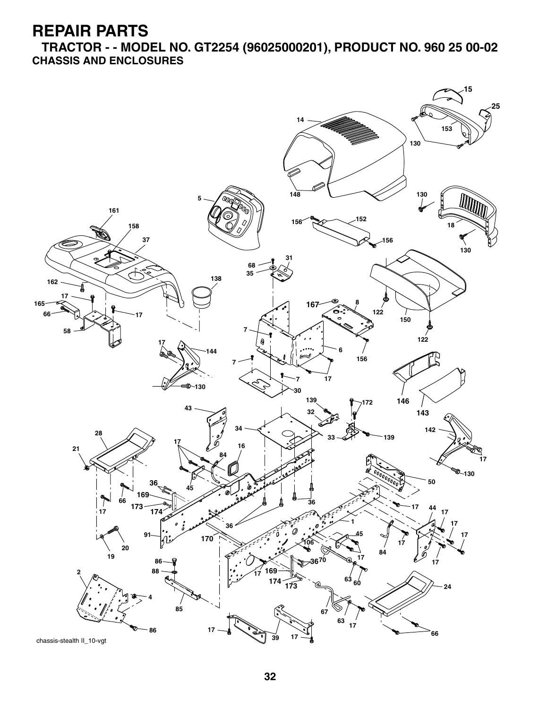**TRACTOR - - MODEL NO. GT2254 (96025000201), PRODUCT NO. 960 25 00-02 CHASSIS AND ENCLOSURES**



chassis-stealth II\_10-vgt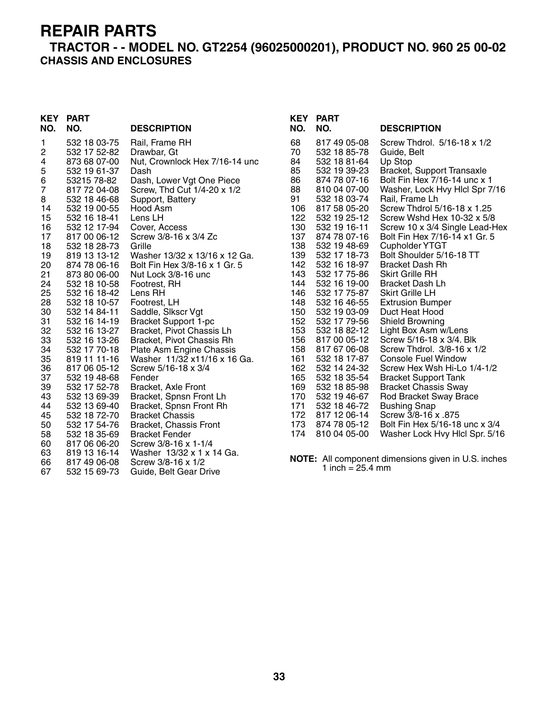#### **TRACTOR - - MODEL NO. GT2254 (96025000201), PRODUCT NO. 960 25 00-02 CHASSIS AND ENCLOSURES**

# **KEY PART**

| NO.      | NO.                          | <b>DESCRIPTION</b>                                      |
|----------|------------------------------|---------------------------------------------------------|
| 1<br>2   | 532 18 03-75<br>532 17 52-82 | Rail, Frame RH<br>Drawbar, Gt                           |
| 4        | 873 68 07-00                 | Nut, Crownlock Hex 7/16-14 unc                          |
| 5<br>6   | 532 19 61-37<br>53215 78-82  | Dash<br>Dash, Lower Vgt One Piece                       |
| 7        | 817 72 04-08                 | Screw, Thd Cut 1/4-20 x 1/2                             |
| 8        | 532 18 46-68                 | Support, Battery                                        |
| 14<br>15 | 532 19 00-55<br>532 16 18-41 | Hood Asm<br>Lens LH                                     |
| 16       | 532 12 17-94                 | Cover, Access                                           |
| 17       | 817 00 06-12                 | Screw 3/8-16 x 3/4 Zc                                   |
| 18       | 532 18 28-73                 | Grille                                                  |
| 19       | 819 13 13-12                 | Washer 13/32 x 13/16 x 12 Ga.                           |
| 20<br>21 | 874 78 06-16<br>873 80 06-00 | Bolt Fin Hex 3/8-16 x 1 Gr. 5<br>Nut Lock 3/8-16 unc    |
| 24       | 532 18 10-58                 | Footrest, RH                                            |
| 25       | 532 16 18-42                 | Lens RH                                                 |
| 28       | 532 18 10-57                 | Footrest, LH                                            |
| 30<br>31 | 532 14 84-11<br>532 16 14-19 | Saddle, Slkscr Vgt<br><b>Bracket Support 1-pc</b>       |
| 32       | 532 16 13-27                 | Bracket, Pivot Chassis Lh                               |
| 33       | 532 16 13-26                 | Bracket, Pivot Chassis Rh                               |
| 34       | 532 17 70-18                 | Plate Asm Engine Chassis                                |
| 35       | 819 11 11-16                 | Washer 11/32 x11/16 x 16 Ga.                            |
| 36<br>37 | 817 06 05-12<br>532 19 48-68 | Screw 5/16-18 x 3/4<br>Fender                           |
| 39       | 532 17 52-78                 | Bracket, Axle Front                                     |
| 43       | 532 13 69-39                 | Bracket, Spnsn Front Lh<br>Bracket, Spnsn Front Rh      |
| 44       | 532 13 69-40                 |                                                         |
| 45<br>50 | 532 18 72-70<br>532 17 54-76 | <b>Bracket Chassis</b><br><b>Bracket, Chassis Front</b> |
| 58       | 532 18 35-69                 | <b>Bracket Fender</b>                                   |
| 60       | 817 06 06-20                 | Screw 3/8-16 x 1-1/4                                    |
| 63       | 819 13 16-14                 | Washer 13/32 x 1 x 14 Ga.                               |
| 66       | 817 49 06-08                 | Screw 3/8-16 x 1/2                                      |
| 67       | 532 15 69-73                 | Guide, Belt Gear Drive                                  |

| KEY<br>NO.                                                                                                                                                                                                            | <b>PART</b><br>NO.                                                                                                                                                                                                                                                                                                                                                                                                                                                                                                           | <b>DESCRIPTION</b>                                                                                                                                                                                                                                                                                                                                                                                                                                                                                                                                                                                                                                                                                                                                                                                                                                                |
|-----------------------------------------------------------------------------------------------------------------------------------------------------------------------------------------------------------------------|------------------------------------------------------------------------------------------------------------------------------------------------------------------------------------------------------------------------------------------------------------------------------------------------------------------------------------------------------------------------------------------------------------------------------------------------------------------------------------------------------------------------------|-------------------------------------------------------------------------------------------------------------------------------------------------------------------------------------------------------------------------------------------------------------------------------------------------------------------------------------------------------------------------------------------------------------------------------------------------------------------------------------------------------------------------------------------------------------------------------------------------------------------------------------------------------------------------------------------------------------------------------------------------------------------------------------------------------------------------------------------------------------------|
| 68<br>70<br>84<br>85<br>86<br>88<br>91<br>106<br>122<br>130<br>137<br>138<br>139<br>142<br>143<br>144<br>146<br>148<br>150<br>152<br>153<br>156<br>158<br>161<br>162<br>165<br>169<br>170<br>171<br>172<br>173<br>174 | 817 49 05-08<br>532 18 85-78<br>532 18 81-64<br>532 19 39-23<br>874 78 07-16<br>810 04 07-00<br>532 18 03-74<br>817 58 05-20<br>532 19 25-12<br>532 19 16-11<br>874 78 07-16<br>532 19 48-69<br>532 17 18-73<br>532 16 18-97<br>532 17 75-86<br>532 16 19-00<br>532 17 75-87<br>532 16 46-55<br>532 19 03-09<br>532 17 79-56<br>532 18 82-12<br>817 00 05-12<br>817 67 06-08<br>532 18 17-87<br>532 14 24-32<br>532 18 35-54<br>532 18 85-98<br>532 19 46-67<br>532 18 46-72<br>817 12 06-14<br>874 78 05-12<br>810 04 05-00 | Screw Thdrol. 5/16-18 x 1/2<br>Guide, Belt<br>Up Stop<br>Bracket, Support Transaxle<br>Bolt Fin Hex 7/16-14 unc x 1<br>Washer, Lock Hvy Hlcl Spr 7/16<br>Rail, Frame Lh<br>Screw Thdrol 5/16-18 x 1.25<br>Screw Wshd Hex 10-32 x 5/8<br>Screw 10 x 3/4 Single Lead-Hex<br>Bolt Fin Hex 7/16-14 x1 Gr. 5<br><b>Cupholder YTGT</b><br>Bolt Shoulder 5/16-18 TT<br><b>Bracket Dash Rh</b><br>Skirt Grille RH<br>Bracket Dash Lh<br>Skirt Grille LH<br><b>Extrusion Bumper</b><br>Duct Heat Hood<br>Shield Browning<br>Light Box Asm w/Lens<br>Screw 5/16-18 x 3/4, Blk<br>Screw Thdrol. 3/8-16 x 1/2<br>Console Fuel Window<br>Screw Hex Wsh Hi-Lo 1/4-1/2<br><b>Bracket Support Tank</b><br><b>Bracket Chassis Sway</b><br>Rod Bracket Sway Brace<br><b>Bushing Snap</b><br>Screw 3/8-16 x .875<br>Bolt Fin Hex 5/16-18 unc x 3/4<br>Washer Lock Hvy Hlcl Spr. 5/16 |
|                                                                                                                                                                                                                       |                                                                                                                                                                                                                                                                                                                                                                                                                                                                                                                              |                                                                                                                                                                                                                                                                                                                                                                                                                                                                                                                                                                                                                                                                                                                                                                                                                                                                   |

**NOTE:** All component dimensions given in U.S. inches 1 inch =  $25.4 \, \text{mm}$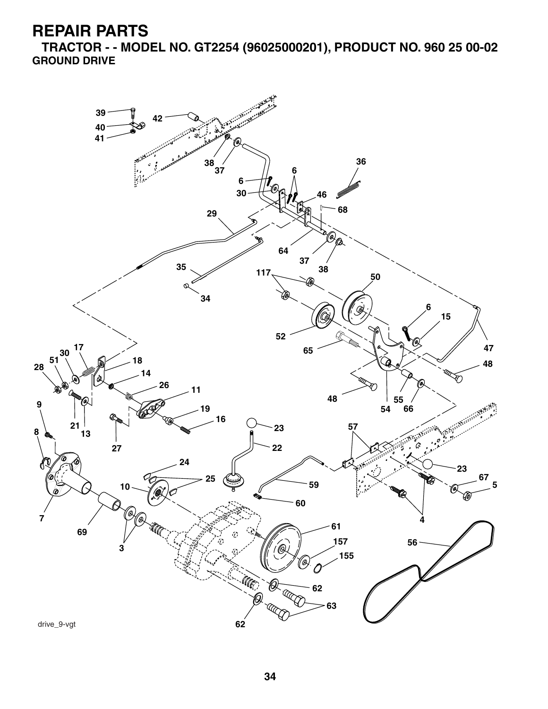**TRACTOR - - MODEL NO. GT2254 (96025000201), PRODUCT NO. 960 25 00-02 GROUND DRIVE**

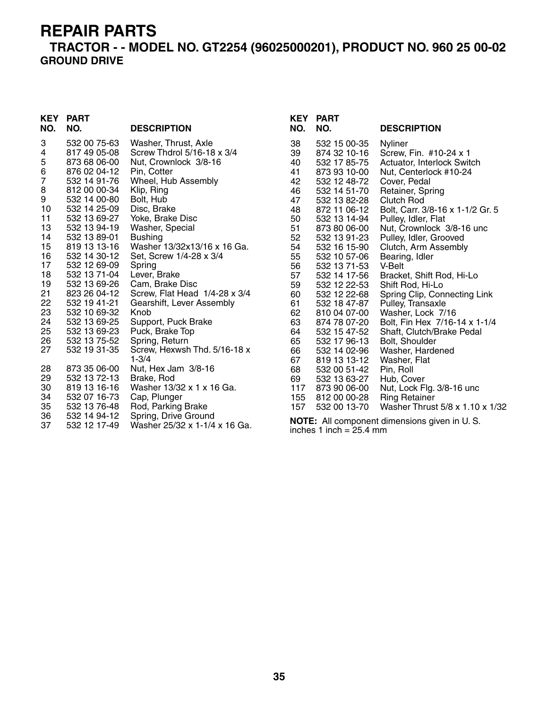#### **TRACTOR - - MODEL NO. GT2254 (96025000201), PRODUCT NO. 960 25 00-02 GROUND DRIVE**

# **KEY PART**

| NO.                                                                                                                             | NO.                                                                                                                                                                                                                                                                                                                                                                          | <b>DESCRIPTION</b>                                                                                                                                                                                                                                                                                                                                                                                                                                                                                         |
|---------------------------------------------------------------------------------------------------------------------------------|------------------------------------------------------------------------------------------------------------------------------------------------------------------------------------------------------------------------------------------------------------------------------------------------------------------------------------------------------------------------------|------------------------------------------------------------------------------------------------------------------------------------------------------------------------------------------------------------------------------------------------------------------------------------------------------------------------------------------------------------------------------------------------------------------------------------------------------------------------------------------------------------|
| 3<br>4<br>5<br>6<br>7<br>8<br>9<br>10<br>11<br>13<br>14<br>15<br>16<br>17<br>18<br>19<br>21<br>22<br>23<br>24<br>25<br>26<br>27 | 532 00 75-63<br>817 49 05-08<br>873 68 06-00<br>876 02 04-12<br>532 14 91-76<br>812 00 00-34<br>532 14 00-80<br>532 14 25-09<br>532 13 69-27<br>532 13 94-19<br>532 13 89-01<br>819 13 13-16<br>532 14 30-12<br>532 12 69-09<br>532 13 71-04<br>532 13 69-26<br>823 26 04-12<br>532 19 41-21<br>532 10 69-32<br>532 13 69-25<br>532 13 69-23<br>532 13 75-52<br>532 19 31-35 | Washer, Thrust, Axle<br>Screw Thdrol 5/16-18 x 3/4<br>Nut, Crownlock 3/8-16<br>Pin, Cotter<br>Wheel, Hub Assembly<br>Klip, Ring<br>Bolt, Hub<br>Disc, Brake<br>Yoke, Brake Disc<br>Washer, Special<br><b>Bushing</b><br>Washer 13/32x13/16 x 16 Ga.<br>Set, Screw 1/4-28 x 3/4<br>Spring<br>Lever, Brake<br>Cam, Brake Disc<br>Screw, Flat Head 1/4-28 x 3/4<br>Gearshift, Lever Assembly<br>Knob<br>Support, Puck Brake<br>Puck, Brake Top<br>Spring, Return<br>Screw, Hexwsh Thd. 5/16-18 x<br>$1 - 3/4$ |
| 28<br>29<br>30<br>34<br>35<br>36<br>37                                                                                          | 873 35 06-00<br>532 13 72-13<br>819 13 16-16<br>532 07 16-73<br>532 13 76-48<br>532 14 94-12<br>532 12 17-49                                                                                                                                                                                                                                                                 | Nut, Hex Jam 3/8-16<br>Brake, Rod<br>Washer 13/32 x 1 x 16 Ga.<br>Cap, Plunger<br>Rod, Parking Brake<br>Spring, Drive Ground<br>Washer 25/32 x 1-1/4 x 16 Ga.                                                                                                                                                                                                                                                                                                                                              |

| NO.<br>NO.<br><b>DESCRIPTION</b>                                                                                                                                                                                                                                                                                                                                                                                                                                                                                                                                                                                                                                                                                                                                                                                                                                                                                                                                                                                                                                                                                                                                                                                                                                                                                                                            | <b>KEY PART</b> |
|-------------------------------------------------------------------------------------------------------------------------------------------------------------------------------------------------------------------------------------------------------------------------------------------------------------------------------------------------------------------------------------------------------------------------------------------------------------------------------------------------------------------------------------------------------------------------------------------------------------------------------------------------------------------------------------------------------------------------------------------------------------------------------------------------------------------------------------------------------------------------------------------------------------------------------------------------------------------------------------------------------------------------------------------------------------------------------------------------------------------------------------------------------------------------------------------------------------------------------------------------------------------------------------------------------------------------------------------------------------|-----------------|
| 38<br>532 15 00-35<br><b>Nyliner</b><br>39<br>874 32 10-16<br>Screw, Fin. #10-24 x 1<br>40<br>532 17 85-75<br>Actuator, Interlock Switch<br>41<br>Nut, Centerlock #10-24<br>873 93 10-00<br>42<br>532 12 48-72<br>Cover, Pedal<br>46<br>Retainer, Spring<br>532 14 51-70<br>47<br>532 13 82-28<br>Clutch Rod<br>48<br>872 11 06-12<br>Bolt, Carr. 3/8-16 x 1-1/2 Gr. 5<br>50<br>532 13 14-94<br>Pulley, Idler, Flat<br>51<br>Nut, Crownlock 3/8-16 unc<br>873 80 06-00<br>52<br>532 13 91-23<br>Pulley, Idler, Grooved<br>54<br>532 16 15-90<br>Clutch, Arm Assembly<br>55<br>532 10 57-06<br>Bearing, Idler<br>56<br>532 13 71-53<br>V-Belt<br>57<br>532 14 17-56<br>Bracket, Shift Rod, Hi-Lo<br>59<br>532 12 22-53<br>Shift Rod, Hi-Lo<br>60<br>Spring Clip, Connecting Link<br>532 12 22-68<br>Pulley, Transaxle<br>61<br>532 18 47-87<br>62<br>Washer, Lock 7/16<br>810 04 07-00<br>63<br>Bolt, Fin Hex 7/16-14 x 1-1/4<br>874 78 07-20<br>64<br>Shaft, Clutch/Brake Pedal<br>532 15 47-52<br>65<br>532 17 96-13<br>Bolt, Shoulder<br>66<br>Washer, Hardened<br>532 14 02-96<br>67<br>819 13 13-12<br>Washer, Flat<br>68<br>532 00 51-42<br>Pin, Roll<br>69<br>532 13 63-27<br>Hub, Cover<br>117<br>Nut, Lock Flg. 3/8-16 unc<br>873 90 06-00<br>155<br><b>Ring Retainer</b><br>812 00 00-28<br>532 00 13-70<br>Washer Thrust 5/8 x 1.10 x 1/32<br>157 |                 |

**NOTE:** All component dimensions given in U. S. inches 1 inch = 25.4 mm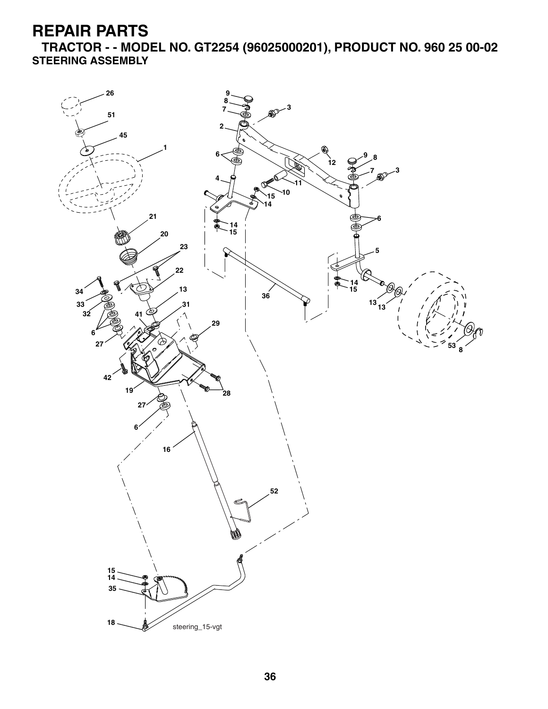**TRACTOR - - MODEL NO. GT2254 (96025000201), PRODUCT NO. 960 25 00-02 STEERING ASSEMBLY**

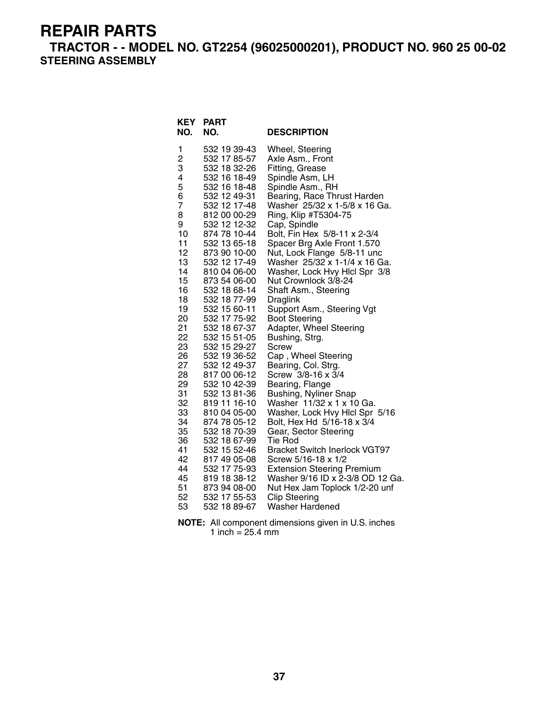**TRACTOR - - MODEL NO. GT2254 (96025000201), PRODUCT NO. 960 25 00-02 STEERING ASSEMBLY**

| <b>KEY</b><br>NO. | <b>PART</b><br>NO.           | <b>DESCRIPTION</b>                                           |
|-------------------|------------------------------|--------------------------------------------------------------|
| 1                 | 532 19 39-43                 | Wheel, Steering                                              |
| $\overline{c}$    | 532 17 85-57                 | Axle Asm., Front                                             |
| 3                 | 532 18 32-26                 | Fitting, Grease                                              |
| 4                 | 532 16 18-49                 | Spindle Asm, LH                                              |
| 5<br>6            | 532 16 18-48<br>532 12 49-31 | Spindle Asm., RH                                             |
| 7                 | 532 12 17-48                 | Bearing, Race Thrust Harden<br>Washer 25/32 x 1-5/8 x 16 Ga. |
| 8                 | 812 00 00-29                 | Ring, Klip #T5304-75                                         |
| 9                 | 532 12 12-32                 | Cap, Spindle                                                 |
| 10                | 874 78 10-44                 | Bolt, Fin Hex 5/8-11 x 2-3/4                                 |
| 11                | 532 13 65-18                 | Spacer Brg Axle Front 1.570                                  |
| 12                | 873 90 10-00                 | Nut, Lock Flange 5/8-11 unc                                  |
| 13                | 532 12 17-49                 | Washer 25/32 x 1-1/4 x 16 Ga.                                |
| 14                | 810 04 06-00                 | Washer, Lock Hvy Hicl Spr 3/8                                |
| 15                | 873 54 06-00                 | Nut Crownlock 3/8-24                                         |
| 16                | 532 18 68-14                 | Shaft Asm., Steering                                         |
| 18                | 532 18 77-99                 | Draglink                                                     |
| 19<br>20          | 532 15 60-11<br>532 17 75-92 | Support Asm., Steering Vgt<br>Boot Steering                  |
| 21                | 532 18 67-37                 | Adapter, Wheel Steering                                      |
| 22                | 532 15 51-05                 | Bushing, Strg.                                               |
| 23                | 532 15 29-27                 | <b>Screw</b>                                                 |
| 26                | 532 19 36-52                 | Cap, Wheel Steering                                          |
| 27                | 532 12 49-37                 | Bearing, Col. Strg.                                          |
| 28                | 817 00 06-12                 | Screw 3/8-16 x 3/4                                           |
| 29                | 532 10 42-39                 | Bearing, Flange                                              |
| 31                | 532 13 81-36                 | <b>Bushing, Nyliner Snap</b>                                 |
| 32<br>33          | 819 11 16-10<br>810 04 05-00 | Washer 11/32 x 1 x 10 Ga.                                    |
| 34                | 874 78 05-12                 | Washer, Lock Hvy Hlcl Spr 5/16<br>Bolt, Hex Hd 5/16-18 x 3/4 |
| 35                | 532 18 70-39                 | Gear, Sector Steering                                        |
| 36                | 532 18 67-99                 | Tie Rod                                                      |
| 41                | 532 15 52-46                 | <b>Bracket Switch Inerlock VGT97</b>                         |
| 42                | 817 49 05-08                 | Screw 5/16-18 x 1/2                                          |
| 44                | 532 17 75-93                 | <b>Extension Steering Premium</b>                            |
| 45                | 819 18 38-12                 | Washer 9/16 ID x 2-3/8 OD 12 Ga.                             |
| 51                | 873 94 08-00                 | Nut Hex Jam Toplock 1/2-20 unf                               |
| 52                | 532 17 55-53                 | <b>Clip Steering</b>                                         |
| 53                | 532 18 89-67                 | Washer Hardened                                              |

**NOTE:** All component dimensions given in U.S. inches 1 inch = 25.4 mm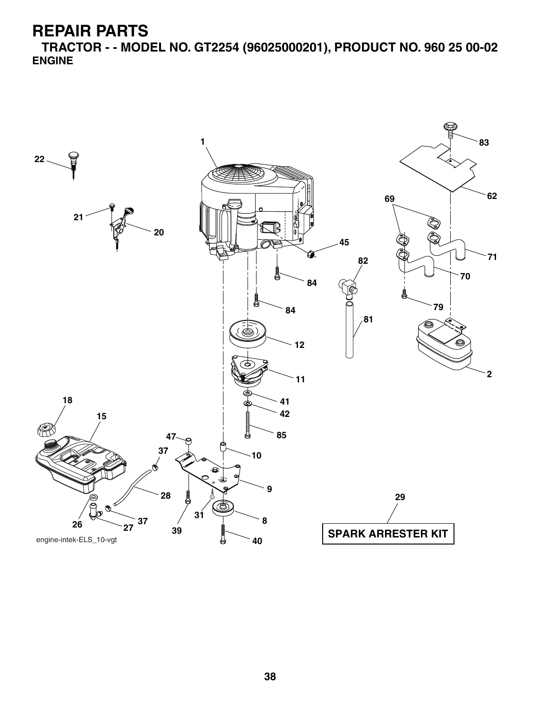**TRACTOR - - MODEL NO. GT2254 (96025000201), PRODUCT NO. 960 25 00-02 ENGINE**

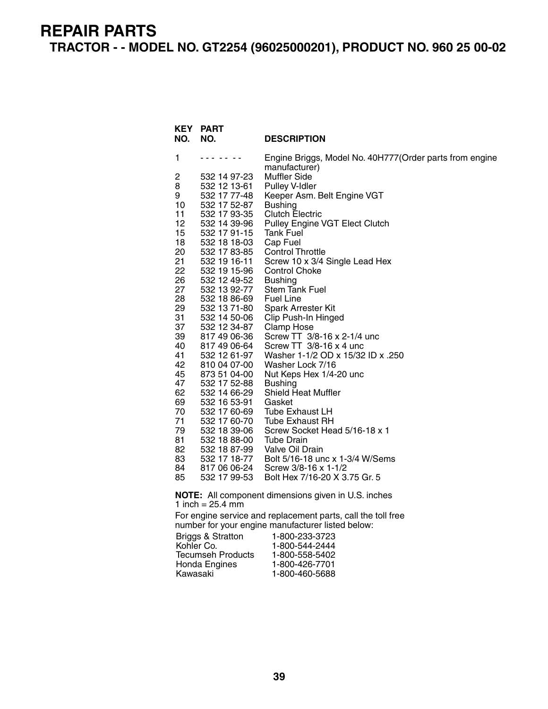#### **REPAIR PARTS TRACTOR - - MODEL NO. GT2254 (96025000201), PRODUCT NO. 960 25 00-02**

| 1<br>Engine Briggs, Model No. 40H777(Order parts from engine<br>.<br>manufacturer)<br>2<br><b>Muffler Side</b><br>532 14 97-23<br>8<br>532 12 13-61<br>Pulley V-Idler<br>532 17 77-48<br>9<br>Keeper Asm. Belt Engine VGT<br>10<br>532 17 52-87<br>Bushing<br>11<br>532 17 93-35<br>Clutch Electric<br>12<br>532 14 39-96<br>Pulley Engine VGT Elect Clutch<br>15<br>532 17 91-15<br>Tank Fuel<br>18<br>532 18 18-03<br>Cap Fuel<br>20<br>532 17 83-85<br><b>Control Throttle</b><br>21<br>532 19 16-11<br>Screw 10 x 3/4 Single Lead Hex<br>22<br>532 19 15-96<br><b>Control Choke</b><br>26<br>532 12 49-52<br><b>Bushing</b><br>27<br>532 13 92-77<br><b>Stem Tank Fuel</b><br>28<br><b>Fuel Line</b><br>532 18 86-69<br>29<br>532 13 71-80<br><b>Spark Arrester Kit</b><br>31<br>532 14 50-06<br>Clip Push-In Hinged<br>37<br>532 12 34-87<br>Clamp Hose<br>39<br>817 49 06-36<br>Screw TT 3/8-16 x 2-1/4 unc<br>Screw TT 3/8-16 x 4 unc<br>40<br>817 49 06-64<br>41<br>532 12 61-97<br>Washer 1-1/2 OD x 15/32 ID x .250<br>42<br>810 04 07-00<br>Washer Lock 7/16<br>45<br>873 51 04-00<br>Nut Keps Hex 1/4-20 unc<br>47<br>532 17 52-88<br><b>Bushing</b><br>62<br>532 14 66-29<br><b>Shield Heat Muffler</b><br>69<br>532 16 53-91<br>Gasket<br>70<br>532 17 60-69<br>Tube Exhaust LH<br>71<br>532 17 60-70<br><b>Tube Exhaust RH</b><br>79<br>Screw Socket Head 5/16-18 x 1<br>532 18 39-06<br>81.<br>532 18 88-00<br>Tube Drain<br>82<br>532 18 87-99<br>Valve Oil Drain<br>83<br>532 17 18-77<br>Bolt 5/16-18 unc x 1-3/4 W/Sems<br>84<br>Screw 3/8-16 x 1-1/2<br>817 06 06-24<br>85<br>532 17 99-53<br>Bolt Hex 7/16-20 X 3.75 Gr. 5<br>NOTE: All component dimensions given in U.S. inches<br>1 inch = $25.4 \text{ mm}$<br>For engine service and replacement parts, call the toll free<br>number for your engine manufacturer listed below:<br><b>Briggs &amp; Stratton</b><br>1-800-233-3723<br>Kohler Co.<br>1-800-544-2444<br>Tecumseh Products<br>1-800-558-5402<br>Honda Engines<br>1-800-426-7701 | NO. | KEY PART<br>NO. | <b>DESCRIPTION</b> |  |  |  |
|------------------------------------------------------------------------------------------------------------------------------------------------------------------------------------------------------------------------------------------------------------------------------------------------------------------------------------------------------------------------------------------------------------------------------------------------------------------------------------------------------------------------------------------------------------------------------------------------------------------------------------------------------------------------------------------------------------------------------------------------------------------------------------------------------------------------------------------------------------------------------------------------------------------------------------------------------------------------------------------------------------------------------------------------------------------------------------------------------------------------------------------------------------------------------------------------------------------------------------------------------------------------------------------------------------------------------------------------------------------------------------------------------------------------------------------------------------------------------------------------------------------------------------------------------------------------------------------------------------------------------------------------------------------------------------------------------------------------------------------------------------------------------------------------------------------------------------------------------------------------------------------------------------------------------------------------------------------------------------------------------------------------|-----|-----------------|--------------------|--|--|--|
|                                                                                                                                                                                                                                                                                                                                                                                                                                                                                                                                                                                                                                                                                                                                                                                                                                                                                                                                                                                                                                                                                                                                                                                                                                                                                                                                                                                                                                                                                                                                                                                                                                                                                                                                                                                                                                                                                                                                                                                                                        |     |                 |                    |  |  |  |
|                                                                                                                                                                                                                                                                                                                                                                                                                                                                                                                                                                                                                                                                                                                                                                                                                                                                                                                                                                                                                                                                                                                                                                                                                                                                                                                                                                                                                                                                                                                                                                                                                                                                                                                                                                                                                                                                                                                                                                                                                        |     |                 |                    |  |  |  |
|                                                                                                                                                                                                                                                                                                                                                                                                                                                                                                                                                                                                                                                                                                                                                                                                                                                                                                                                                                                                                                                                                                                                                                                                                                                                                                                                                                                                                                                                                                                                                                                                                                                                                                                                                                                                                                                                                                                                                                                                                        |     |                 |                    |  |  |  |
|                                                                                                                                                                                                                                                                                                                                                                                                                                                                                                                                                                                                                                                                                                                                                                                                                                                                                                                                                                                                                                                                                                                                                                                                                                                                                                                                                                                                                                                                                                                                                                                                                                                                                                                                                                                                                                                                                                                                                                                                                        |     |                 |                    |  |  |  |
|                                                                                                                                                                                                                                                                                                                                                                                                                                                                                                                                                                                                                                                                                                                                                                                                                                                                                                                                                                                                                                                                                                                                                                                                                                                                                                                                                                                                                                                                                                                                                                                                                                                                                                                                                                                                                                                                                                                                                                                                                        |     |                 |                    |  |  |  |
|                                                                                                                                                                                                                                                                                                                                                                                                                                                                                                                                                                                                                                                                                                                                                                                                                                                                                                                                                                                                                                                                                                                                                                                                                                                                                                                                                                                                                                                                                                                                                                                                                                                                                                                                                                                                                                                                                                                                                                                                                        |     |                 |                    |  |  |  |
|                                                                                                                                                                                                                                                                                                                                                                                                                                                                                                                                                                                                                                                                                                                                                                                                                                                                                                                                                                                                                                                                                                                                                                                                                                                                                                                                                                                                                                                                                                                                                                                                                                                                                                                                                                                                                                                                                                                                                                                                                        |     |                 |                    |  |  |  |
|                                                                                                                                                                                                                                                                                                                                                                                                                                                                                                                                                                                                                                                                                                                                                                                                                                                                                                                                                                                                                                                                                                                                                                                                                                                                                                                                                                                                                                                                                                                                                                                                                                                                                                                                                                                                                                                                                                                                                                                                                        |     |                 |                    |  |  |  |
|                                                                                                                                                                                                                                                                                                                                                                                                                                                                                                                                                                                                                                                                                                                                                                                                                                                                                                                                                                                                                                                                                                                                                                                                                                                                                                                                                                                                                                                                                                                                                                                                                                                                                                                                                                                                                                                                                                                                                                                                                        |     |                 |                    |  |  |  |
|                                                                                                                                                                                                                                                                                                                                                                                                                                                                                                                                                                                                                                                                                                                                                                                                                                                                                                                                                                                                                                                                                                                                                                                                                                                                                                                                                                                                                                                                                                                                                                                                                                                                                                                                                                                                                                                                                                                                                                                                                        |     |                 |                    |  |  |  |
|                                                                                                                                                                                                                                                                                                                                                                                                                                                                                                                                                                                                                                                                                                                                                                                                                                                                                                                                                                                                                                                                                                                                                                                                                                                                                                                                                                                                                                                                                                                                                                                                                                                                                                                                                                                                                                                                                                                                                                                                                        |     |                 |                    |  |  |  |
|                                                                                                                                                                                                                                                                                                                                                                                                                                                                                                                                                                                                                                                                                                                                                                                                                                                                                                                                                                                                                                                                                                                                                                                                                                                                                                                                                                                                                                                                                                                                                                                                                                                                                                                                                                                                                                                                                                                                                                                                                        |     |                 |                    |  |  |  |
|                                                                                                                                                                                                                                                                                                                                                                                                                                                                                                                                                                                                                                                                                                                                                                                                                                                                                                                                                                                                                                                                                                                                                                                                                                                                                                                                                                                                                                                                                                                                                                                                                                                                                                                                                                                                                                                                                                                                                                                                                        |     |                 |                    |  |  |  |
|                                                                                                                                                                                                                                                                                                                                                                                                                                                                                                                                                                                                                                                                                                                                                                                                                                                                                                                                                                                                                                                                                                                                                                                                                                                                                                                                                                                                                                                                                                                                                                                                                                                                                                                                                                                                                                                                                                                                                                                                                        |     |                 |                    |  |  |  |
|                                                                                                                                                                                                                                                                                                                                                                                                                                                                                                                                                                                                                                                                                                                                                                                                                                                                                                                                                                                                                                                                                                                                                                                                                                                                                                                                                                                                                                                                                                                                                                                                                                                                                                                                                                                                                                                                                                                                                                                                                        |     |                 |                    |  |  |  |
|                                                                                                                                                                                                                                                                                                                                                                                                                                                                                                                                                                                                                                                                                                                                                                                                                                                                                                                                                                                                                                                                                                                                                                                                                                                                                                                                                                                                                                                                                                                                                                                                                                                                                                                                                                                                                                                                                                                                                                                                                        |     |                 |                    |  |  |  |
|                                                                                                                                                                                                                                                                                                                                                                                                                                                                                                                                                                                                                                                                                                                                                                                                                                                                                                                                                                                                                                                                                                                                                                                                                                                                                                                                                                                                                                                                                                                                                                                                                                                                                                                                                                                                                                                                                                                                                                                                                        |     |                 |                    |  |  |  |
|                                                                                                                                                                                                                                                                                                                                                                                                                                                                                                                                                                                                                                                                                                                                                                                                                                                                                                                                                                                                                                                                                                                                                                                                                                                                                                                                                                                                                                                                                                                                                                                                                                                                                                                                                                                                                                                                                                                                                                                                                        |     |                 |                    |  |  |  |
|                                                                                                                                                                                                                                                                                                                                                                                                                                                                                                                                                                                                                                                                                                                                                                                                                                                                                                                                                                                                                                                                                                                                                                                                                                                                                                                                                                                                                                                                                                                                                                                                                                                                                                                                                                                                                                                                                                                                                                                                                        |     |                 |                    |  |  |  |
|                                                                                                                                                                                                                                                                                                                                                                                                                                                                                                                                                                                                                                                                                                                                                                                                                                                                                                                                                                                                                                                                                                                                                                                                                                                                                                                                                                                                                                                                                                                                                                                                                                                                                                                                                                                                                                                                                                                                                                                                                        |     |                 |                    |  |  |  |
|                                                                                                                                                                                                                                                                                                                                                                                                                                                                                                                                                                                                                                                                                                                                                                                                                                                                                                                                                                                                                                                                                                                                                                                                                                                                                                                                                                                                                                                                                                                                                                                                                                                                                                                                                                                                                                                                                                                                                                                                                        |     |                 |                    |  |  |  |
|                                                                                                                                                                                                                                                                                                                                                                                                                                                                                                                                                                                                                                                                                                                                                                                                                                                                                                                                                                                                                                                                                                                                                                                                                                                                                                                                                                                                                                                                                                                                                                                                                                                                                                                                                                                                                                                                                                                                                                                                                        |     |                 |                    |  |  |  |
|                                                                                                                                                                                                                                                                                                                                                                                                                                                                                                                                                                                                                                                                                                                                                                                                                                                                                                                                                                                                                                                                                                                                                                                                                                                                                                                                                                                                                                                                                                                                                                                                                                                                                                                                                                                                                                                                                                                                                                                                                        |     |                 |                    |  |  |  |
|                                                                                                                                                                                                                                                                                                                                                                                                                                                                                                                                                                                                                                                                                                                                                                                                                                                                                                                                                                                                                                                                                                                                                                                                                                                                                                                                                                                                                                                                                                                                                                                                                                                                                                                                                                                                                                                                                                                                                                                                                        |     |                 |                    |  |  |  |
|                                                                                                                                                                                                                                                                                                                                                                                                                                                                                                                                                                                                                                                                                                                                                                                                                                                                                                                                                                                                                                                                                                                                                                                                                                                                                                                                                                                                                                                                                                                                                                                                                                                                                                                                                                                                                                                                                                                                                                                                                        |     |                 |                    |  |  |  |
|                                                                                                                                                                                                                                                                                                                                                                                                                                                                                                                                                                                                                                                                                                                                                                                                                                                                                                                                                                                                                                                                                                                                                                                                                                                                                                                                                                                                                                                                                                                                                                                                                                                                                                                                                                                                                                                                                                                                                                                                                        |     |                 |                    |  |  |  |
|                                                                                                                                                                                                                                                                                                                                                                                                                                                                                                                                                                                                                                                                                                                                                                                                                                                                                                                                                                                                                                                                                                                                                                                                                                                                                                                                                                                                                                                                                                                                                                                                                                                                                                                                                                                                                                                                                                                                                                                                                        |     |                 |                    |  |  |  |
|                                                                                                                                                                                                                                                                                                                                                                                                                                                                                                                                                                                                                                                                                                                                                                                                                                                                                                                                                                                                                                                                                                                                                                                                                                                                                                                                                                                                                                                                                                                                                                                                                                                                                                                                                                                                                                                                                                                                                                                                                        |     |                 |                    |  |  |  |
|                                                                                                                                                                                                                                                                                                                                                                                                                                                                                                                                                                                                                                                                                                                                                                                                                                                                                                                                                                                                                                                                                                                                                                                                                                                                                                                                                                                                                                                                                                                                                                                                                                                                                                                                                                                                                                                                                                                                                                                                                        |     |                 |                    |  |  |  |
|                                                                                                                                                                                                                                                                                                                                                                                                                                                                                                                                                                                                                                                                                                                                                                                                                                                                                                                                                                                                                                                                                                                                                                                                                                                                                                                                                                                                                                                                                                                                                                                                                                                                                                                                                                                                                                                                                                                                                                                                                        |     |                 |                    |  |  |  |
|                                                                                                                                                                                                                                                                                                                                                                                                                                                                                                                                                                                                                                                                                                                                                                                                                                                                                                                                                                                                                                                                                                                                                                                                                                                                                                                                                                                                                                                                                                                                                                                                                                                                                                                                                                                                                                                                                                                                                                                                                        |     |                 |                    |  |  |  |
|                                                                                                                                                                                                                                                                                                                                                                                                                                                                                                                                                                                                                                                                                                                                                                                                                                                                                                                                                                                                                                                                                                                                                                                                                                                                                                                                                                                                                                                                                                                                                                                                                                                                                                                                                                                                                                                                                                                                                                                                                        |     |                 |                    |  |  |  |
|                                                                                                                                                                                                                                                                                                                                                                                                                                                                                                                                                                                                                                                                                                                                                                                                                                                                                                                                                                                                                                                                                                                                                                                                                                                                                                                                                                                                                                                                                                                                                                                                                                                                                                                                                                                                                                                                                                                                                                                                                        |     |                 |                    |  |  |  |
|                                                                                                                                                                                                                                                                                                                                                                                                                                                                                                                                                                                                                                                                                                                                                                                                                                                                                                                                                                                                                                                                                                                                                                                                                                                                                                                                                                                                                                                                                                                                                                                                                                                                                                                                                                                                                                                                                                                                                                                                                        |     |                 |                    |  |  |  |
|                                                                                                                                                                                                                                                                                                                                                                                                                                                                                                                                                                                                                                                                                                                                                                                                                                                                                                                                                                                                                                                                                                                                                                                                                                                                                                                                                                                                                                                                                                                                                                                                                                                                                                                                                                                                                                                                                                                                                                                                                        |     |                 |                    |  |  |  |
| Kawasaki                                                                                                                                                                                                                                                                                                                                                                                                                                                                                                                                                                                                                                                                                                                                                                                                                                                                                                                                                                                                                                                                                                                                                                                                                                                                                                                                                                                                                                                                                                                                                                                                                                                                                                                                                                                                                                                                                                                                                                                                               |     |                 | 1-800-460-5688     |  |  |  |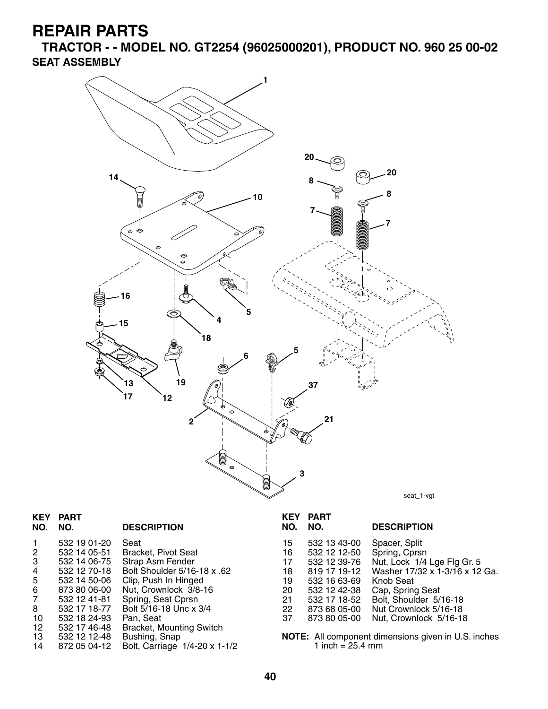**TRACTOR - - MODEL NO. GT2254 (96025000201), PRODUCT NO. 960 25 00-02 SEAT ASSEMBLY**



| <b>KEY</b><br>NO. | <b>PART</b><br>NO. | <b>DESCRIPTION</b>              | <b>KEY</b><br>NO. | <b>PART</b><br>NO. |
|-------------------|--------------------|---------------------------------|-------------------|--------------------|
|                   | 532 19 01-20       | Seat                            | 15                | 532 13 43-00       |
| 2                 | 532 14 05-51       | Bracket, Pivot Seat             | 16                | 532 12 12-50       |
| 3                 | 532 14 06-75       | Strap Asm Fender                | 17                | 532 12 39-76       |
| 4                 | 532 12 70-18       | Bolt Shoulder 5/16-18 x .62     | 18                | 819 17 19-12       |
| 5                 | 532 14 50-06       | Clip, Push In Hinged            | 19                | 532 16 63-69       |
| 6                 | 873 80 06-00       | Nut, Crownlock 3/8-16           | 20                | 532 12 42-38       |
| $\overline{7}$    | 532 12 41-81       | Spring, Seat Cprsn              | 21                | 532 17 18-52       |
| 8                 | 532 17 18-77       | Bolt 5/16-18 Unc x 3/4          | 22                | 873 68 05-00       |
| 10                | 532 18 24-93       | Pan, Seat                       | 37                | 873 80 05-00       |
| 12                | 532 17 46-48       | <b>Bracket, Mounting Switch</b> |                   |                    |
| 13                | 532 12 12 - 48     | Bushing, Snap                   |                   | NOTE: All compone  |
| 14                | 872 05 04-12       | Bolt, Carriage 1/4-20 x 1-1/2   |                   | 1 inch = $25.4$    |
|                   |                    |                                 |                   |                    |

| NO. | NO.          | <b>DESCRIPTION</b>             |
|-----|--------------|--------------------------------|
| 15  | 532 13 43-00 | Spacer, Split                  |
| 16  | 532 12 12-50 | Spring, Cprsn                  |
| 17  | 532 12 39-76 | Nut, Lock 1/4 Lge Flg Gr. 5    |
| 18  | 819 17 19-12 | Washer 17/32 x 1-3/16 x 12 Ga. |
| 19  | 532 16 63-69 | Knob Seat                      |
| 20  | 532 12 42-38 | Cap, Spring Seat               |
| 21  | 532 17 18-52 | Bolt, Shoulder 5/16-18         |
| 22  | 873 68 05-00 | Nut Crownlock 5/16-18          |
| 37  | 873 80 05-00 | Nut, Crownlock 5/16-18         |
|     |              |                                |

**And component dimensions given in U.S. inches**  $4 \text{ mm}$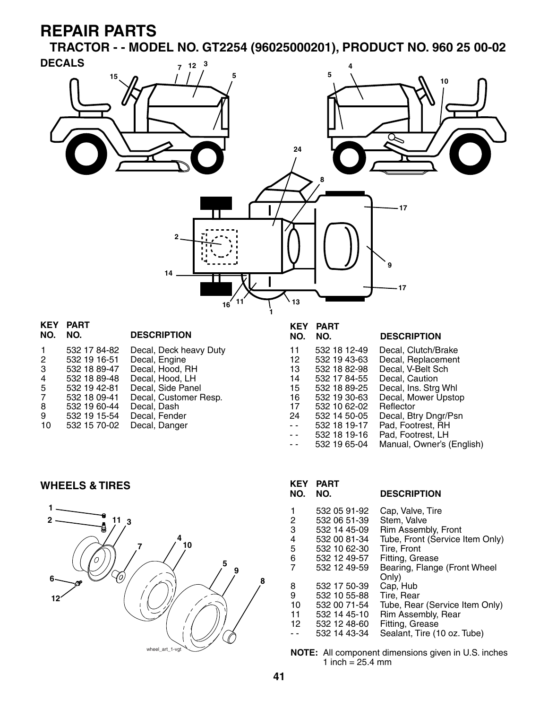**TRACTOR - - MODEL NO. GT2254 (96025000201), PRODUCT NO. 960 25 00-02**



-- 532 18 19-16 Pad, Footrest, LH<br>-- 532 19 65-04 Manual, Owner's ( Manual, Owner's (English)

**WHEELS & TIRES**



| KEY.<br>NO.                     | <b>PART</b><br>NO.                                                                                           | <b>DESCRIPTION</b>                                                                                                                                          |
|---------------------------------|--------------------------------------------------------------------------------------------------------------|-------------------------------------------------------------------------------------------------------------------------------------------------------------|
| 1<br>2<br>3<br>4<br>5<br>6<br>7 | 532 05 91-92<br>532 06 51-39<br>532 14 45-09<br>532 00 81-34<br>532 10 62-30<br>532 12 49-57<br>532 12 49-59 | Cap, Valve, Tire<br>Stem, Valve<br>Rim Assembly, Front<br>Tube, Front (Service Item Only)<br>Tire, Front<br>Fitting, Grease<br>Bearing, Flange (Front Wheel |
| 8<br>9<br>10<br>11<br>12        | 532 17 50-39<br>532 10 55-88<br>532 00 71-54<br>532 14 45-10<br>532 12 48-60<br>532 14 43-34                 | Only)<br>Cap, Hub<br>Tire, Rear<br>Tube, Rear (Service Item Only)<br>Rim Assembly, Rear<br>Fitting, Grease<br>Sealant, Tire (10 oz. Tube)                   |

**NOTE:** All component dimensions given in U.S. inches 1 inch =  $25.4 \, \text{mm}$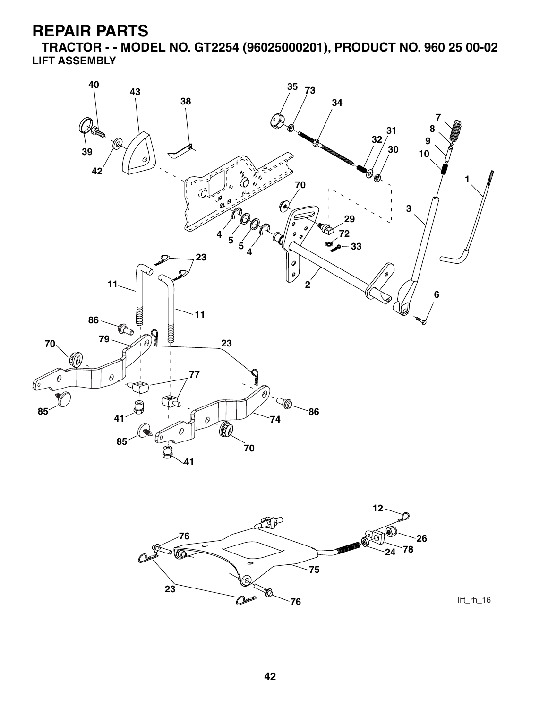**TRACTOR - - MODEL NO. GT2254 (96025000201), PRODUCT NO. 960 25 00-02 LIFT ASSEMBLY**





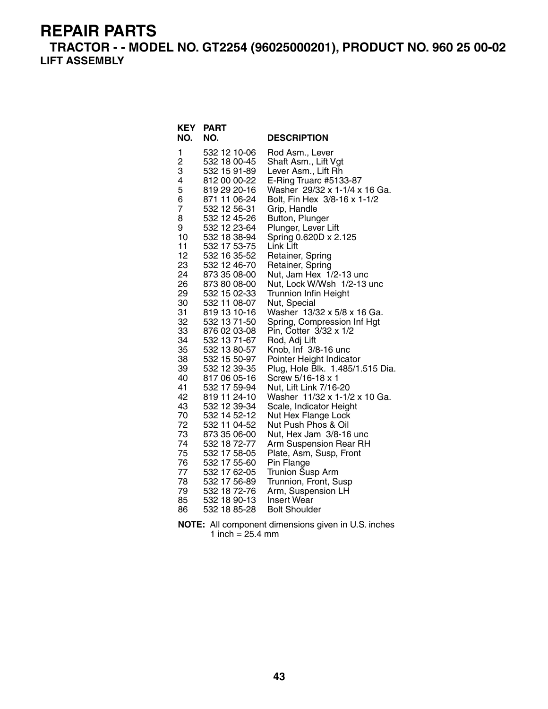**TRACTOR - - MODEL NO. GT2254 (96025000201), PRODUCT NO. 960 25 00-02 LIFT ASSEMBLY**

| <b>KEY</b>     | <b>PART</b>                  |                                                              |
|----------------|------------------------------|--------------------------------------------------------------|
| NO.            | NO.                          | <b>DESCRIPTION</b>                                           |
| 1              | 532 12 10-06                 | Rod Asm., Lever                                              |
| 2              | 532 18 00-45                 | Shaft Asm., Lift Vgt                                         |
| 3              | 532 15 91-89                 | Lever Asm., Lift Rh                                          |
| 4              | 812 00 00-22                 | E-Ring Truarc #5133-87                                       |
| 5              | 819 29 20-16                 | Washer 29/32 x 1-1/4 x 16 Ga.                                |
| 6              | 871 11 06-24                 | Bolt, Fin Hex 3/8-16 x 1-1/2                                 |
| $\overline{7}$ | 532 12 56-31                 | Grip, Handle                                                 |
| 8<br>9         | 532 12 45-26                 | Button, Plunger                                              |
| 10             | 532 12 23-64<br>532 18 38-94 | Plunger, Lever Lift<br>Spring 0.620D x 2.125                 |
| 11             | 532 17 53-75                 | Link Lift                                                    |
| 12             | 532 16 35-52                 | Retainer, Spring                                             |
| 23             | 532 12 46-70                 | Retainer, Spring                                             |
| 24             | 873 35 08-00                 | Nut, Jam Hex 1/2-13 unc                                      |
| 26             | 873 80 08-00                 | Nut, Lock W/Wsh 1/2-13 unc                                   |
| 29             | 532 15 02-33                 | <b>Trunnion Infin Height</b>                                 |
| 30             | 532 11 08-07                 | Nut, Special                                                 |
| 31             | 819 13 10-16                 | Washer 13/32 x 5/8 x 16 Ga.                                  |
| 32             | 532 13 71-50                 | Spring, Compression Inf Hgt                                  |
| 33             | 876 02 03-08                 | Pin, Cotter 3/32 x 1/2                                       |
| 34             | 532 13 71-67                 | Rod, Adj Lift                                                |
| 35<br>38       | 532 13 80-57<br>532 15 50-97 | Knob, Inf 3/8-16 unc                                         |
| 39             | 532 12 39-35                 | Pointer Height Indicator<br>Plug, Hole Blk. 1.485/1.515 Dia. |
| 40             | 817 06 05-16                 | Screw 5/16-18 x 1                                            |
| 41             | 532 17 59-94                 | Nut, Lift Link 7/16-20                                       |
| 42             | 819 11 24-10                 | Washer 11/32 x 1-1/2 x 10 Ga.                                |
| 43             | 532 12 39-34                 | Scale, Indicator Height                                      |
| 70             | 532 14 52-12                 | Nut Hex Flange Lock                                          |
| 72             | 532 11 04-52                 | Nut Push Phos & Oil                                          |
| 73             | 873 35 06-00                 | Nut, Hex Jam 3/8-16 unc                                      |
| 74             | 532 18 72-77                 | Arm Suspension Rear RH                                       |
| 75<br>76       | 532 17 58-05<br>532 17 55-60 | Plate, Asm, Susp, Front                                      |
| 77             | 532 17 62-05                 | Pin Flange<br><b>Trunion Susp Arm</b>                        |
| 78             | 532 17 56-89                 | Trunnion, Front, Susp                                        |
| 79             | 532 18 72-76                 | Arm, Suspension LH                                           |
| 85             | 532 18 90-13                 | <b>Insert Wear</b>                                           |
| 86             | 532 18 85-28                 | <b>Bolt Shoulder</b>                                         |

**NOTE:** All component dimensions given in U.S. inches 1 inch = 25.4 mm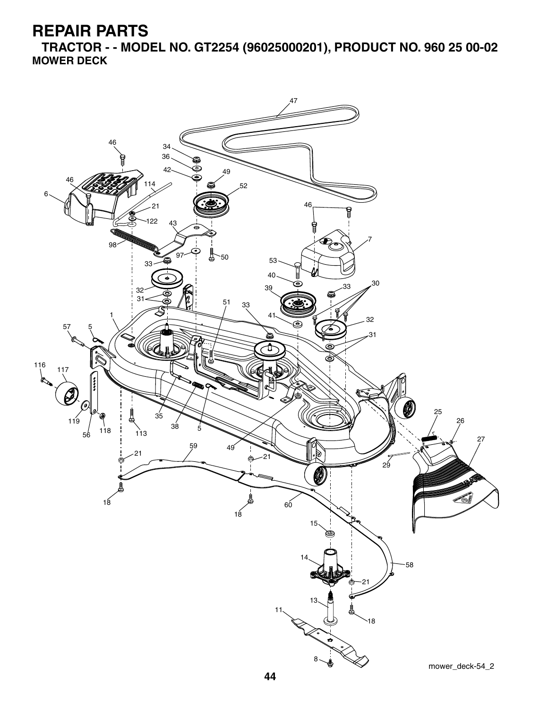**TRACTOR - - MODEL NO. GT2254 (96025000201), PRODUCT NO. 960 25 00-02 MOWER DECK**

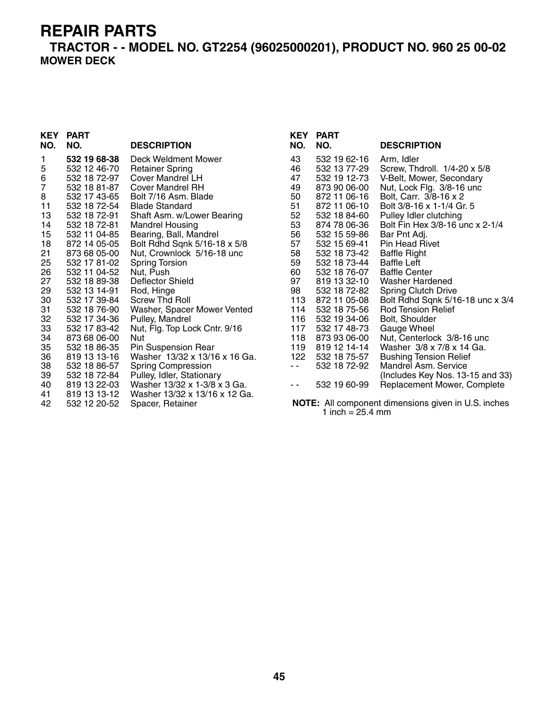**TRACTOR - - MODEL NO. GT2254 (96025000201), PRODUCT NO. 960 25 00-02 MOWER DECK**

|                | <b>KEY PART</b> |                               | KEY           | <b>PART</b>  |                                                            |
|----------------|-----------------|-------------------------------|---------------|--------------|------------------------------------------------------------|
| NO.            | NO.             | <b>DESCRIPTION</b>            | NO.           | NO.          | <b>DESCRIPTION</b>                                         |
| 1              | 532 19 68-38    | Deck Weldment Mower           | 43            | 532 19 62-16 | Arm, Idler                                                 |
| 5              | 532 12 46-70    | <b>Retainer Spring</b>        | 46            | 532 13 77-29 | Screw, Thdroll. 1/4-20 x 5/8                               |
| 6              | 532 18 72-97    | Cover Mandrel LH              | 47            | 532 19 12-73 | V-Belt, Mower, Secondary                                   |
| $\overline{7}$ | 532 18 81-87    | Cover Mandrel RH              | 49            | 873 90 06-00 | Nut, Lock Flg. 3/8-16 unc                                  |
| 8              | 532 17 43-65    | Bolt 7/16 Asm. Blade          | 50            | 872 11 06-16 | Bolt, Carr. 3/8-16 x 2                                     |
| 11             | 532 18 72-54    | <b>Blade Standard</b>         | 51            | 872 11 06-10 | Bolt 3/8-16 x 1-1/4 Gr. 5                                  |
| 13             | 532 18 72-91    | Shaft Asm. w/Lower Bearing    | 52            | 532 18 84-60 | Pulley Idler clutching                                     |
| 14             | 532 18 72-81    | <b>Mandrel Housing</b>        | 53            | 874 78 06-36 | Bolt Fin Hex 3/8-16 unc x 2-1/4                            |
| 15             | 532 11 04-85    | Bearing, Ball, Mandrel        | 56            | 532 15 59-86 | Bar Pnt Adj.                                               |
| 18             | 872 14 05-05    | Bolt Rdhd Sqnk 5/16-18 x 5/8  | 57            | 532 15 69-41 | <b>Pin Head Rivet</b>                                      |
| 21             | 873 68 05-00    | Nut, Crownlock 5/16-18 unc    | 58            | 532 18 73-42 | <b>Baffle Right</b>                                        |
| 25             | 532 17 81-02    | <b>Spring Torsion</b>         | 59            | 532 18 73-44 | <b>Baffle Left</b>                                         |
| 26             | 532 11 04-52    | Nut, Push                     | 60            | 532 18 76-07 | <b>Baffle Center</b>                                       |
| 27             | 532 18 89-38    | Deflector Shield              | 97            | 819 13 32-10 | Washer Hardened                                            |
| 29             | 532 13 14-91    | Rod, Hinge                    | 98            | 532 18 72-82 | <b>Spring Clutch Drive</b>                                 |
| 30             | 532 17 39-84    | Screw Thd Roll                | 113           | 872 11 05-08 | Bolt Rdhd Sqnk 5/16-18 unc x 3/4                           |
| 31             | 532 18 76-90    | Washer, Spacer Mower Vented   | 114           | 532 18 75-56 | <b>Rod Tension Relief</b>                                  |
| 32             | 532 17 34-36    | Pulley, Mandrel               | 116           | 532 19 34-06 | Bolt, Shoulder                                             |
| 33             | 532 17 83-42    | Nut, Flg. Top Lock Cntr. 9/16 | 117           | 532 17 48-73 | Gauge Wheel                                                |
| 34             | 873 68 06-00    | Nut                           | 118           | 873 93 06-00 | Nut, Centerlock 3/8-16 unc                                 |
| 35             | 532 18 86-35    | Pin Suspension Rear           | 119           | 819 12 14-14 | Washer 3/8 x 7/8 x 14 Ga.                                  |
| 36             | 819 13 13-16    | Washer 13/32 x 13/16 x 16 Ga. | 122           | 532 18 75-57 | <b>Bushing Tension Relief</b>                              |
| 38             | 532 18 86-57    | <b>Spring Compression</b>     | $\sim$ $\sim$ | 532 18 72-92 | Mandrel Asm. Service                                       |
| 39             | 532 18 72-84    | Pulley, Idler, Stationary     |               |              | (Includes Key Nos. 13-15 and 33)                           |
| 40             | 819 13 22-03    | Washer 13/32 x 1-3/8 x 3 Ga.  | ۰.            | 532 19 60-99 | Replacement Mower, Complete                                |
| 41             | 819 13 13-12    | Washer 13/32 x 13/16 x 12 Ga. |               |              |                                                            |
| 42             | 532 12 20-52    | Spacer, Retainer              |               |              | <b>NOTE:</b> All component dimensions given in U.S. inches |

 **NOTE:** All component dimensions given in U.S. inches 1 inch = 25.4 mm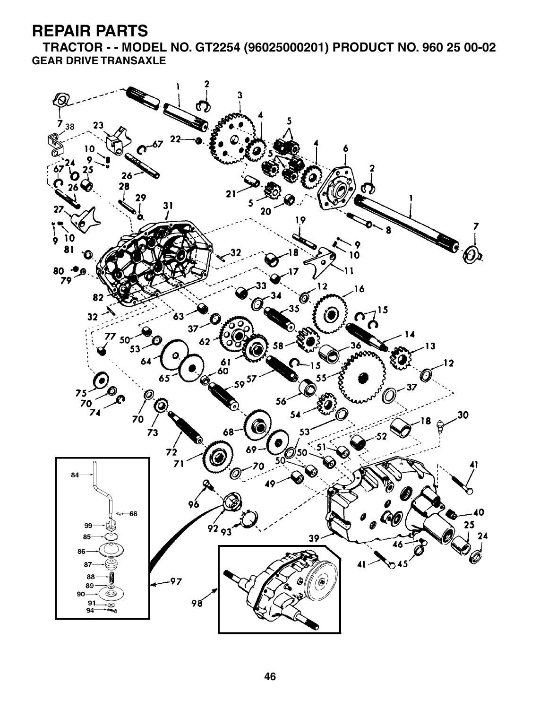**TRACTOR - - MODEL NO. GT2254 (96025000201) PRODUCT NO. 960 25 00-02 GEAR DRIVE TRANSAXLE**